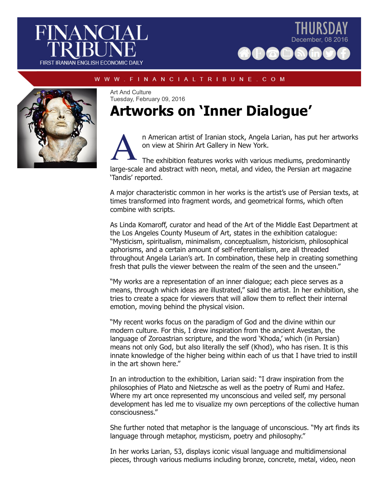



## W W W . F I N A N C I A L T R I B U N E . C O M



Art And Culture Tuesday, February 09, 2016

## **Artworks on 'Inner Dialogue'**



n American artist of Iranian stock, Angela Larian, has put her artworks on view at Shirin Art Gallery in New York.

The exhibition features works with various mediums, predominantly large-scale and abstract with neon, metal, and video, the Persian art magazine 'Tandis' reported.

A major characteristic common in her works is the artist's use of Persian texts, at times transformed into fragment words, and geometrical forms, which often combine with scripts.

As Linda Komaroff, curator and head of the Art of the Middle East Department at the Los Angeles County Museum of Art, states in the exhibition catalogue: "Mysticism, spiritualism, minimalism, conceptualism, historicism, philosophical aphorisms, and a certain amount of self-referentialism, are all threaded throughout Angela Larian's art. In combination, these help in creating something fresh that pulls the viewer between the realm of the seen and the unseen."

"My works are a representation of an inner dialogue; each piece serves as a means, through which ideas are illustrated," said the artist. In her exhibition, she tries to create a space for viewers that will allow them to reflect their internal emotion, moving behind the physical vision.

"My recent works focus on the paradigm of God and the divine within our modern culture. For this, I drew inspiration from the ancient Avestan, the language of Zoroastrian scripture, and the word 'Khoda,' which (in Persian) means not only God, but also literally the self (Khod), who has risen. It is this innate knowledge of the higher being within each of us that I have tried to instill in the art shown here."

In an introduction to the exhibition, Larian said: "I draw inspiration from the philosophies of Plato and Nietzsche as well as the poetry of Rumi and Hafez. Where my art once represented my unconscious and veiled self, my personal development has led me to visualize my own perceptions of the collective human consciousness."

She further noted that metaphor is the language of unconscious. "My art finds its language through metaphor, mysticism, poetry and philosophy."

In her works Larian, 53, displays iconic visual language and multidimensional pieces, through various mediums including bronze, concrete, metal, video, neon